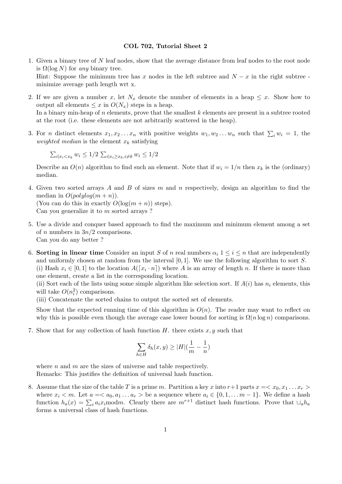## COL 702, Tutorial Sheet 2

- 1. Given a binary tree of N leaf nodes, show that the average distance from leaf nodes to the root node is  $\Omega(\log N)$  for any binary tree. Hint: Suppose the minimum tree has x nodes in the left subtree and  $N - x$  in the right subtree minimize average path length wrt x.
- 2. If we are given a number x, let  $N_x$  denote the number of elements in a heap  $\leq x$ . Show how to output all elements  $\leq x$  in  $O(N_x)$  steps in a heap. In a binary min-heap of  $n$  elements, prove that the smallest  $k$  elements are present in a subtree rooted at the root (i.e. these elements are not arbitrarily scattered in the heap).
- 3. For *n* distinct elements  $x_1, x_2 \ldots x_n$  with positive weights  $w_1, w_2 \ldots w_n$  such that  $\sum_i w_i = 1$ , the weighted median is the element  $x_k$  satisfying

 $\sum_{i|x_i < x_k} w_i \leq 1/2 \sum_{i|x_i \geq x_k, i \neq k} w_i \leq 1/2$ 

Describe an  $O(n)$  algorithm to find such an element. Note that if  $w_i = 1/n$  then  $x_k$  is the (ordinary) median.

4. Given two sorted arrays  $A$  and  $B$  of sizes  $m$  and  $n$  respectively, design an algorithm to find the median in  $O(polylog(m + n))$ .

(You can do this in exactly  $O(\log(m+n))$  steps). Can you generalize it to  $m$  sorted arrays ?

- 5. Use a divide and conquer based approach to find the maximum and minimum element among a set of *n* numbers in  $3n/2$  comparisons. Can you do any better ?
- 6. Sorting in linear time Consider an input S of n real numbers  $\alpha_i$  1  $\leq i \leq n$  that are independently and uniformly chosen at random from the interval  $[0, 1]$ . We use the following algorithm to sort S. (i) Hash  $x_i \in [0,1]$  to the location  $A([x_i \cdot n])$  where A is an array of length n. If there is more than one element, create a list in the corresponding location.

(ii) Sort each of the lists using some simple algorithm like selection sort. If  $A(i)$  has  $n_i$  elements, this will take  $O(n_i^2)$  comparisons.

(iii) Concatenate the sorted chains to output the sorted set of elements.

Show that the expected running time of this algorithm is  $O(n)$ . The reader may want to reflect on why this is possible even though the average case lower bound for sorting is  $\Omega(n \log n)$  comparisons.

7. Show that for any collection of hash function  $H$ , there exists  $x, y$  such that

$$
\sum_{h \in H} \delta_h(x, y) \ge |H| \left(\frac{1}{m} - \frac{1}{n}\right)
$$

where  $n$  and  $m$  are the sizes of universe and table respectively. Remarks: This justifies the definition of universal hash function.

8. Assume that the size of the table T is a prime m. Partition a key x into  $r+1$  parts  $x = \langle x_0, x_1, \ldots, x_r \rangle$ where  $x_i < m$ . Let  $a = \langle a_0, a_1 \dots a_r \rangle$  be a sequence where  $a_i \in \{0, 1, \dots m-1\}$ . We define a hash function  $h_a(x) = \sum_i a_i x_i \text{ mod} m$ . Clearly there are  $m^{r+1}$  distinct hash functions. Prove that  $\cup_a h_a$ forms a universal class of hash functions.